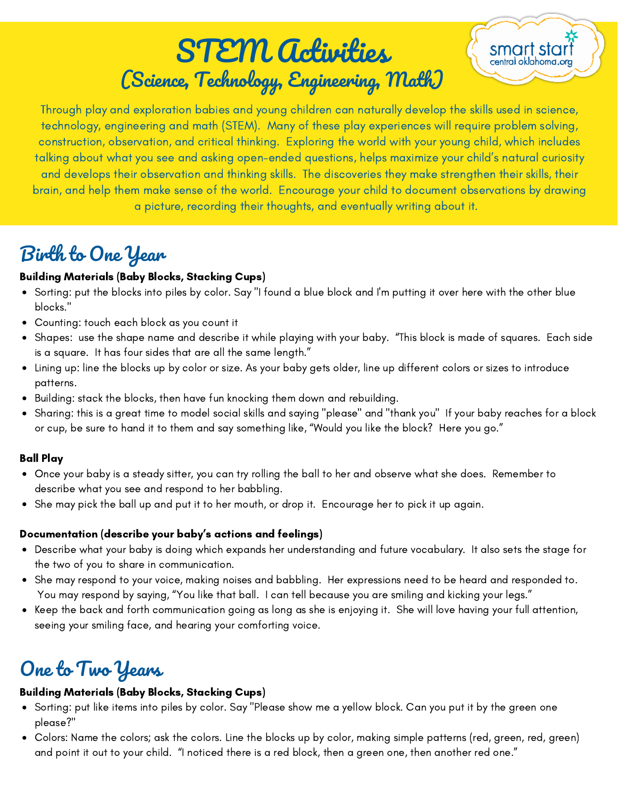# STEM Activities (Science, Technology, Engineering, Math)



Through play and exploration babies and young children can naturally develop the skills used in science, technology, engineering and math (STEM). Many of these play experiences will require problem solving, construction, observation, and critical thinking. Exploring the world with your young child, which includes talking about what you see and asking open-ended questions, helps maximize your child's natural curiosity and develops their observation and thinking skills. The discoveries they make strengthen their skills, their brain, and help them make sense of the world. Encourage your child to document observations by drawing a picture, recording their thoughts, and eventually writing about it.

# Birth to One Year

### Building Materials (Baby Blocks, Stacking Cups)

- Sorting: put the blocks into piles by color. Say "I found a blue block and I'm putting it over here with the other blue blocks."
- Counting: touch each block as you count it
- Shapes: use the shape name and describe it while playing with your baby. "This block is made of squares. Each side is a square. It has four sides that are all the same length."
- Lining up: line the blocks up by color or size. As your baby gets older, line up different colors or sizes to introduce patterns.
- Building: stack the blocks, then have fun knocking them down and rebuilding.
- Sharing: this is a great time to model social skills and saying "please" and "thank you" If your baby reaches for a block  $\bullet$ or cup, be sure to hand it to them and say something like, "Would you like the block? Here you go."

### Ball Play

- Once your baby is a steady sitter, you can try rolling the ball to her and observe what she does. Remember to describe what you see and respond to her babbling.
- She may pick the ball up and put it to her mouth, or drop it. Encourage her to pick it up again.

### Documentation (describe your baby's actions and feelings)

- Describe what your baby is doing which expands her understanding and future vocabulary. It also sets the stage for the two of you to share in communication.
- She may respond to your voice, making noises and babbling. Her expressions need to be heard and responded to. You may respond by saying, "You like that ball. I can tell because you are smiling and kicking your legs."
- Keep the back and forth communication going as long as she is enjoying it. She will love having your full attention, seeing your smiling face, and hearing your comforting voice.

# One to Two Years

### Building Materials (Baby Blocks, Stacking Cups)

- Sorting: put like items into piles by color. Say "Please show me a yellow block. Can you put it by the green one please?"
- Colors: Name the colors; ask the colors. Line the blocks up by color, making simple patterns (red, green, red, green) and point it out to your child. "I noticed there is a red block, then a green one, then another red one."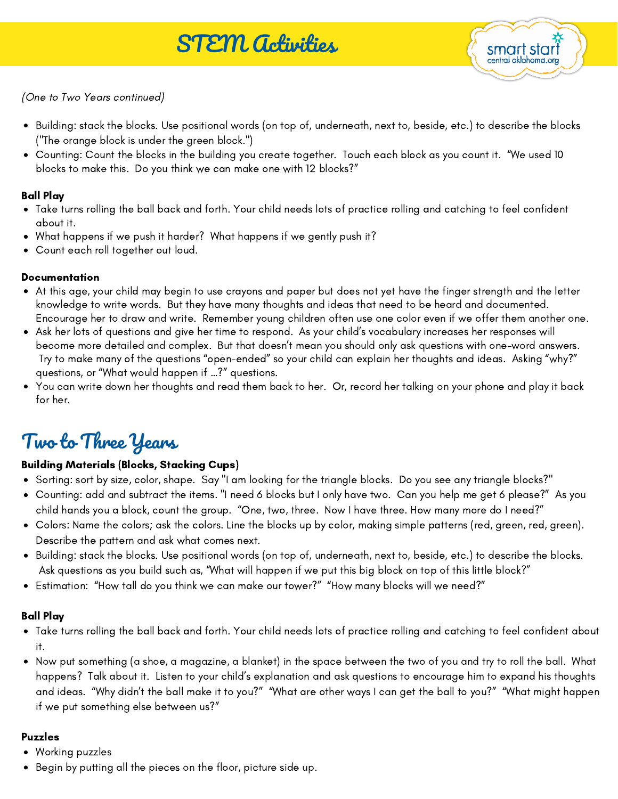

(One to Two Years continued)

- Building: stack the blocks. Use positional words (on top of, underneath, next to, beside, etc.) to describe the blocks ("The orange block is under the green block.")
- Counting: Count the blocks in the building you create together. Touch each block as you count it. "We used 10 blocks to make this. Do you think we can make one with 12 blocks?"

### Ball Play

- Take turns rolling the ball back and forth. Your child needs lots of practice rolling and catching to feel confident about it.
- What happens if we push it harder? What happens if we gently push it?
- Count each roll together out loud.

### **Documentation**

- At this age, your child may begin to use crayons and paper but does not yet have the finger strength and the letter knowledge to write words. But they have many thoughts and ideas that need to be heard and documented. Encourage her to draw and write. Remember young children often use one color even if we offer them another one.
- Ask her lots of questions and give her time to respond. As your child's vocabulary increases her responses will become more detailed and complex. But that doesn't mean you should only ask questions with one-word answers. Try to make many of the questions "open-ended" so your child can explain her thoughts and ideas. Asking "why?" questions, or "What would happen if …?" questions.
- You can write down her thoughts and read them back to her. Or, record her talking on your phone and play it back for her.

# Two to Three Years

### Building Materials (Blocks, Stacking Cups)

- Sorting: sort by size, color, shape. Say "I am looking for the triangle blocks. Do you see any triangle blocks?"
- Counting: add and subtract the items. "I need 6 blocks but I only have two. Can you help me get 6 please?" As you child hands you a block, count the group. "One, two, three. Now I have three. How many more do I need?"
- Colors: Name the colors; ask the colors. Line the blocks up by color, making simple patterns (red, green, red, green). Describe the pattern and ask what comes next.
- Building: stack the blocks. Use positional words (on top of, underneath, next to, beside, etc.) to describe the blocks. Ask questions as you build such as, "What will happen if we put this big block on top of this little block?"
- Estimation: "How tall do you think we can make our tower?" "How many blocks will we need?"

### Ball Play

- Take turns rolling the ball back and forth. Your child needs lots of practice rolling and catching to feel confident about it.
- Now put something (a shoe, a magazine, a blanket) in the space between the two of you and try to roll the ball. What happens? Talk about it. Listen to your child's explanation and ask questions to encourage him to expand his thoughts and ideas. "Why didn't the ball make it to you?" "What are other ways I can get the ball to you?" "What might happen if we put something else between us?"

#### Puzzles

- Working puzzles
- Begin by putting all the pieces on the floor, picture side up.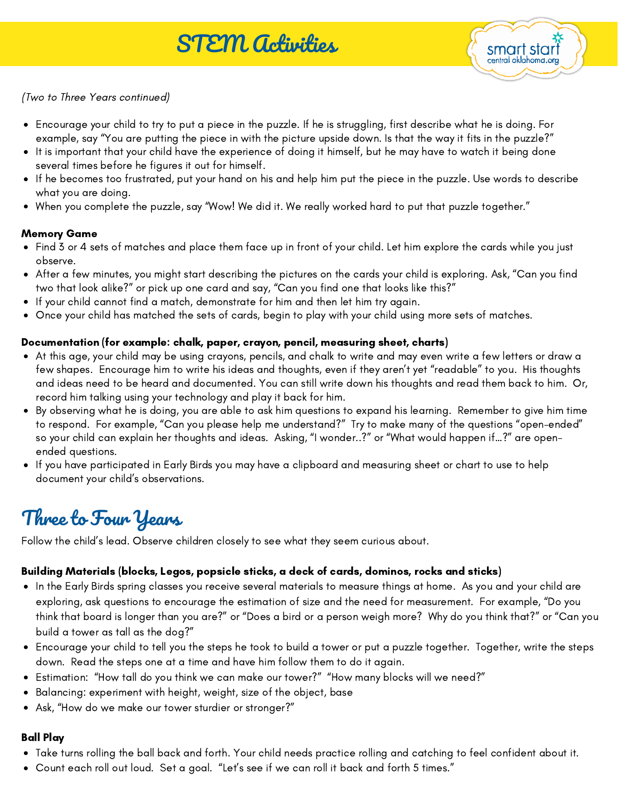

(Two to Three Years continued)

- Encourage your child to try to put a piece in the puzzle. If he is struggling, first describe what he is doing. For example, say "You are putting the piece in with the picture upside down. Is that the way it fits in the puzzle?"
- It is important that your child have the experience of doing it himself, but he may have to watch it being done several times before he figures it out for himself.
- If he becomes too frustrated, put your hand on his and help him put the piece in the puzzle. Use words to describe what you are doing.
- When you complete the puzzle, say "Wow! We did it. We really worked hard to put that puzzle together."

#### Memory Game

- Find 3 or 4 sets of matches and place them face up in front of your child. Let him explore the cards while you just observe.
- After a few minutes, you might start describing the pictures on the cards your child is exploring. Ask, "Can you find two that look alike?" or pick up one card and say, "Can you find one that looks like this?"
- If your child cannot find a match, demonstrate for him and then let him try again.
- Once your child has matched the sets of cards, begin to play with your child using more sets of matches.

#### Documentation (for example: chalk, paper, crayon, pencil, measuring sheet, charts)

- At this age, your child may be using crayons, pencils, and chalk to write and may even write a few letters or draw a few shapes. Encourage him to write his ideas and thoughts, even if they aren't yet "readable" to you. His thoughts and ideas need to be heard and documented. You can still write down his thoughts and read them back to him. Or, record him talking using your technology and play it back for him.
- By observing what he is doing, you are able to ask him questions to expand his learning. Remember to give him time to respond. For example, "Can you please help me understand?" Try to make many of the questions "open-ended" so your child can explain her thoughts and ideas. Asking, "I wonder..?" or "What would happen if…?" are openended questions.
- If you have participated in Early Birds you may have a clipboard and measuring sheet or chart to use to help document your child's observations.

# Three to Four Years

Follow the child's lead. Observe children closely to see what they seem curious about.

# Building Materials (blocks, Legos, popsicle sticks, a deck of cards, dominos, rocks and sticks)

- In the Early Birds spring classes you receive several materials to measure things at home. As you and your child are exploring, ask questions to encourage the estimation of size and the need for measurement. For example, "Do you think that board is longer than you are?" or "Does a bird or a person weigh more? Why do you think that?" or "Can you build a tower as tall as the dog?"
- Encourage your child to tell you the steps he took to build a tower or put a puzzle together. Together, write the steps down. Read the steps one at a time and have him follow them to do it again.
- Estimation: "How tall do you think we can make our tower?" "How many blocks will we need?"
- Balancing: experiment with height, weight, size of the object, base
- Ask, "How do we make our tower sturdier or stronger?"

# Ball Play

- Take turns rolling the ball back and forth. Your child needs practice rolling and catching to feel confident about it.
- Count each roll out loud. Set a goal. "Let's see if we can roll it back and forth 5 times."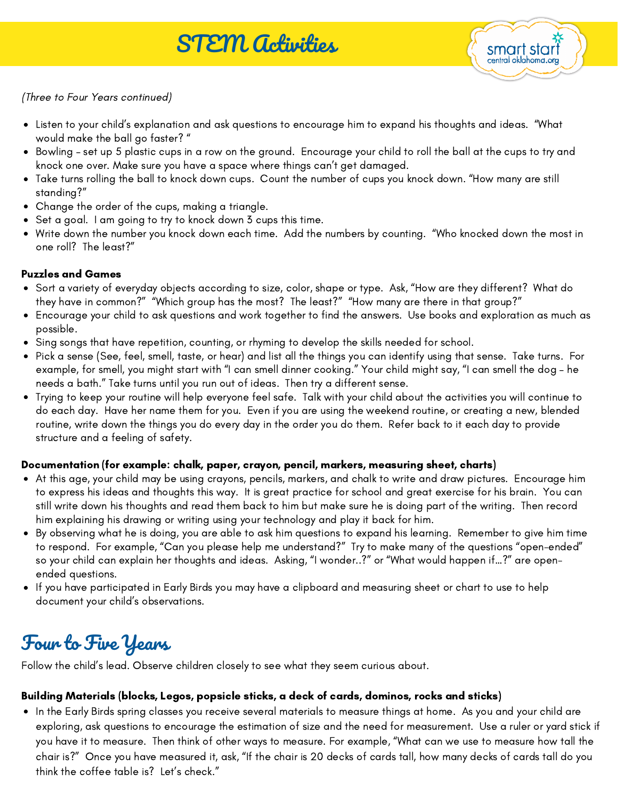

(Three to Four Years continued)

- Listen to your child's explanation and ask questions to encourage him to expand his thoughts and ideas. "What would make the ball go faster? "
- Bowling set up 5 plastic cups in a row on the ground. Encourage your child to roll the ball at the cups to try and knock one over. Make sure you have a space where things can't get damaged.
- Take turns rolling the ball to knock down cups. Count the number of cups you knock down. "How many are still standing?"
- Change the order of the cups, making a triangle.
- Set a goal. I am going to try to knock down 3 cups this time.
- Write down the number you knock down each time. Add the numbers by counting. "Who knocked down the most in one roll? The least?"

#### Puzzles and Games

- Sort a variety of everyday objects according to size, color, shape or type. Ask, "How are they different? What do they have in common?" "Which group has the most? The least?" "How many are there in that group?"
- Encourage your child to ask questions and work together to find the answers. Use books and exploration as much as possible.
- Sing songs that have repetition, counting, or rhyming to develop the skills needed for school.
- Pick a sense (See, feel, smell, taste, or hear) and list all the things you can identify using that sense. Take turns. For example, for smell, you might start with "I can smell dinner cooking." Your child might say, "I can smell the dog – he needs a bath." Take turns until you run out of ideas. Then try a different sense.
- Trying to keep your routine will help everyone feel safe. Talk with your child about the activities you will continue to do each day. Have her name them for you. Even if you are using the weekend routine, or creating a new, blended routine, write down the things you do every day in the order you do them. Refer back to it each day to provide structure and a feeling of safety.

#### Documentation (for example: chalk, paper, crayon, pencil, markers, measuring sheet, charts)

- At this age, your child may be using crayons, pencils, markers, and chalk to write and draw pictures. Encourage him to express his ideas and thoughts this way. It is great practice for school and great exercise for his brain. You can still write down his thoughts and read them back to him but make sure he is doing part of the writing. Then record him explaining his drawing or writing using your technology and play it back for him.
- By observing what he is doing, you are able to ask him questions to expand his learning. Remember to give him time to respond. For example, "Can you please help me understand?" Try to make many of the questions "open-ended" so your child can explain her thoughts and ideas. Asking, "I wonder..?" or "What would happen if…?" are openended questions.
- If you have participated in Early Birds you may have a clipboard and measuring sheet or chart to use to help document your child's observations.

# Four to Five Years

Follow the child's lead. Observe children closely to see what they seem curious about.

#### Building Materials (blocks, Legos, popsicle sticks, a deck of cards, dominos, rocks and sticks)

In the Early Birds spring classes you receive several materials to measure things at home. As you and your child are exploring, ask questions to encourage the estimation of size and the need for measurement. Use a ruler or yard stick if you have it to measure. Then think of other ways to measure. For example, "What can we use to measure how tall the chair is?" Once you have measured it, ask, "If the chair is 20 decks of cards tall, how many decks of cards tall do you think the coffee table is? Let's check."